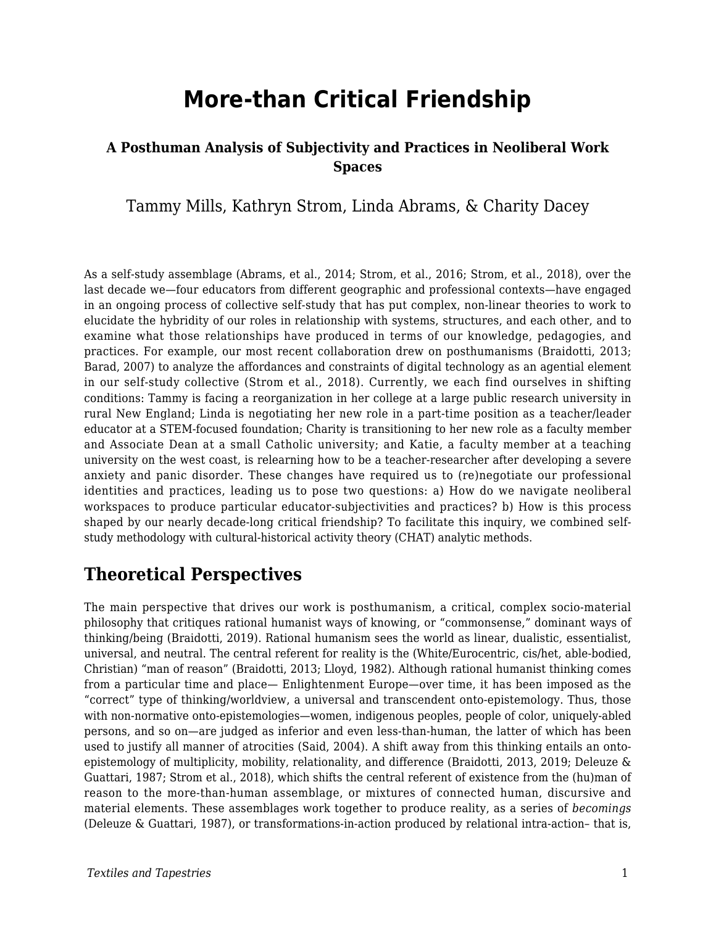# **More-than Critical Friendship**

#### **A Posthuman Analysis of Subjectivity and Practices in Neoliberal Work Spaces**

Tammy Mills, Kathryn Strom, Linda Abrams, & Charity Dacey

As a self-study assemblage (Abrams, et al., 2014; Strom, et al., 2016; Strom, et al., 2018), over the last decade we—four educators from different geographic and professional contexts—have engaged in an ongoing process of collective self-study that has put complex, non-linear theories to work to elucidate the hybridity of our roles in relationship with systems, structures, and each other, and to examine what those relationships have produced in terms of our knowledge, pedagogies, and practices. For example, our most recent collaboration drew on posthumanisms (Braidotti, 2013; Barad, 2007) to analyze the affordances and constraints of digital technology as an agential element in our self-study collective (Strom et al., 2018). Currently, we each find ourselves in shifting conditions: Tammy is facing a reorganization in her college at a large public research university in rural New England; Linda is negotiating her new role in a part-time position as a teacher/leader educator at a STEM-focused foundation; Charity is transitioning to her new role as a faculty member and Associate Dean at a small Catholic university; and Katie, a faculty member at a teaching university on the west coast, is relearning how to be a teacher-researcher after developing a severe anxiety and panic disorder. These changes have required us to (re)negotiate our professional identities and practices, leading us to pose two questions: a) How do we navigate neoliberal workspaces to produce particular educator-subjectivities and practices? b) How is this process shaped by our nearly decade-long critical friendship? To facilitate this inquiry, we combined selfstudy methodology with cultural-historical activity theory (CHAT) analytic methods.

# **Theoretical Perspectives**

The main perspective that drives our work is posthumanism, a critical, complex socio-material philosophy that critiques rational humanist ways of knowing, or "commonsense," dominant ways of thinking/being (Braidotti, 2019). Rational humanism sees the world as linear, dualistic, essentialist, universal, and neutral. The central referent for reality is the (White/Eurocentric, cis/het, able-bodied, Christian) "man of reason" (Braidotti, 2013; Lloyd, 1982). Although rational humanist thinking comes from a particular time and place— Enlightenment Europe—over time, it has been imposed as the "correct" type of thinking/worldview, a universal and transcendent onto-epistemology. Thus, those with non-normative onto-epistemologies—women, indigenous peoples, people of color, uniquely-abled persons, and so on—are judged as inferior and even less-than-human, the latter of which has been used to justify all manner of atrocities (Said, 2004). A shift away from this thinking entails an ontoepistemology of multiplicity, mobility, relationality, and difference (Braidotti, 2013, 2019; Deleuze & Guattari, 1987; Strom et al., 2018), which shifts the central referent of existence from the (hu)man of reason to the more-than-human assemblage, or mixtures of connected human, discursive and material elements. These assemblages work together to produce reality, as a series of *becomings* (Deleuze & Guattari, 1987), or transformations-in-action produced by relational intra-action– that is,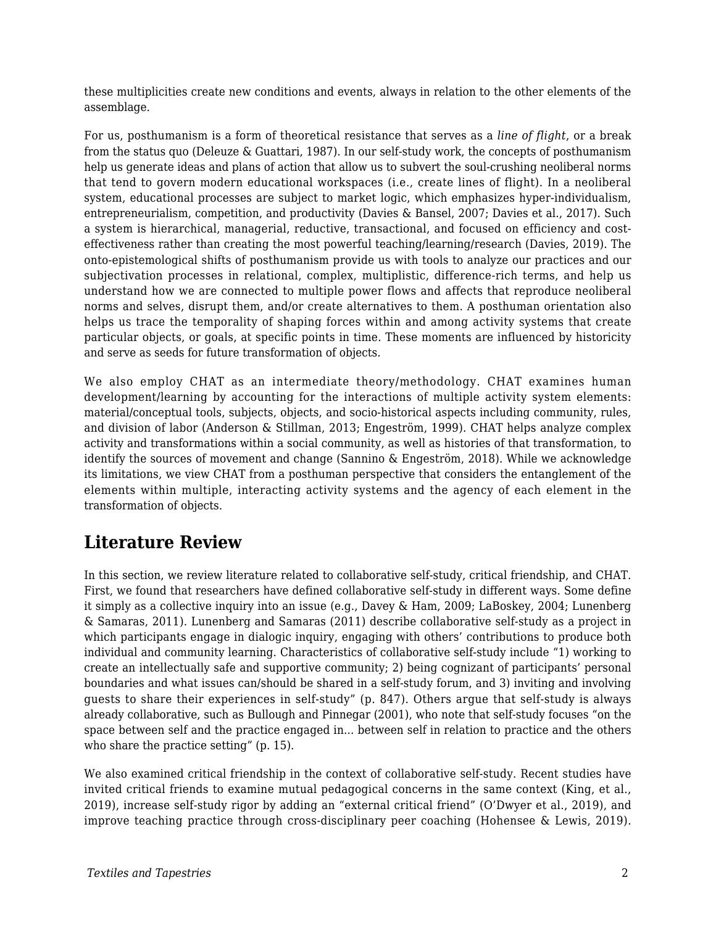these multiplicities create new conditions and events, always in relation to the other elements of the assemblage.

For us, posthumanism is a form of theoretical resistance that serves as a *line of flight*, or a break from the status quo (Deleuze & Guattari, 1987). In our self-study work, the concepts of posthumanism help us generate ideas and plans of action that allow us to subvert the soul-crushing neoliberal norms that tend to govern modern educational workspaces (i.e., create lines of flight). In a neoliberal system, educational processes are subject to market logic, which emphasizes hyper-individualism, entrepreneurialism, competition, and productivity (Davies & Bansel, 2007; Davies et al., 2017). Such a system is hierarchical, managerial, reductive, transactional, and focused on efficiency and costeffectiveness rather than creating the most powerful teaching/learning/research (Davies, 2019). The onto-epistemological shifts of posthumanism provide us with tools to analyze our practices and our subjectivation processes in relational, complex, multiplistic, difference-rich terms, and help us understand how we are connected to multiple power flows and affects that reproduce neoliberal norms and selves, disrupt them, and/or create alternatives to them. A posthuman orientation also helps us trace the temporality of shaping forces within and among activity systems that create particular objects, or goals, at specific points in time. These moments are influenced by historicity and serve as seeds for future transformation of objects.

We also employ CHAT as an intermediate theory/methodology. CHAT examines human development/learning by accounting for the interactions of multiple activity system elements: material/conceptual tools, subjects, objects, and socio-historical aspects including community, rules, and division of labor (Anderson & Stillman, 2013; Engeström, 1999). CHAT helps analyze complex activity and transformations within a social community, as well as histories of that transformation, to identify the sources of movement and change (Sannino & Engeström, 2018). While we acknowledge its limitations, we view CHAT from a posthuman perspective that considers the entanglement of the elements within multiple, interacting activity systems and the agency of each element in the transformation of objects.

# **Literature Review**

In this section, we review literature related to collaborative self-study, critical friendship, and CHAT. First, we found that researchers have defined collaborative self-study in different ways. Some define it simply as a collective inquiry into an issue (e.g., Davey & Ham, 2009; LaBoskey, 2004; Lunenberg & Samaras, 2011). Lunenberg and Samaras (2011) describe collaborative self-study as a project in which participants engage in dialogic inquiry, engaging with others' contributions to produce both individual and community learning. Characteristics of collaborative self-study include "1) working to create an intellectually safe and supportive community; 2) being cognizant of participants' personal boundaries and what issues can/should be shared in a self-study forum, and 3) inviting and involving guests to share their experiences in self-study" (p. 847). Others argue that self-study is always already collaborative, such as Bullough and Pinnegar (2001), who note that self-study focuses "on the space between self and the practice engaged in... between self in relation to practice and the others who share the practice setting" (p. 15).

We also examined critical friendship in the context of collaborative self-study. Recent studies have invited critical friends to examine mutual pedagogical concerns in the same context (King, et al., 2019), increase self-study rigor by adding an "external critical friend" (O'Dwyer et al., 2019), and improve teaching practice through cross-disciplinary peer coaching (Hohensee & Lewis, 2019).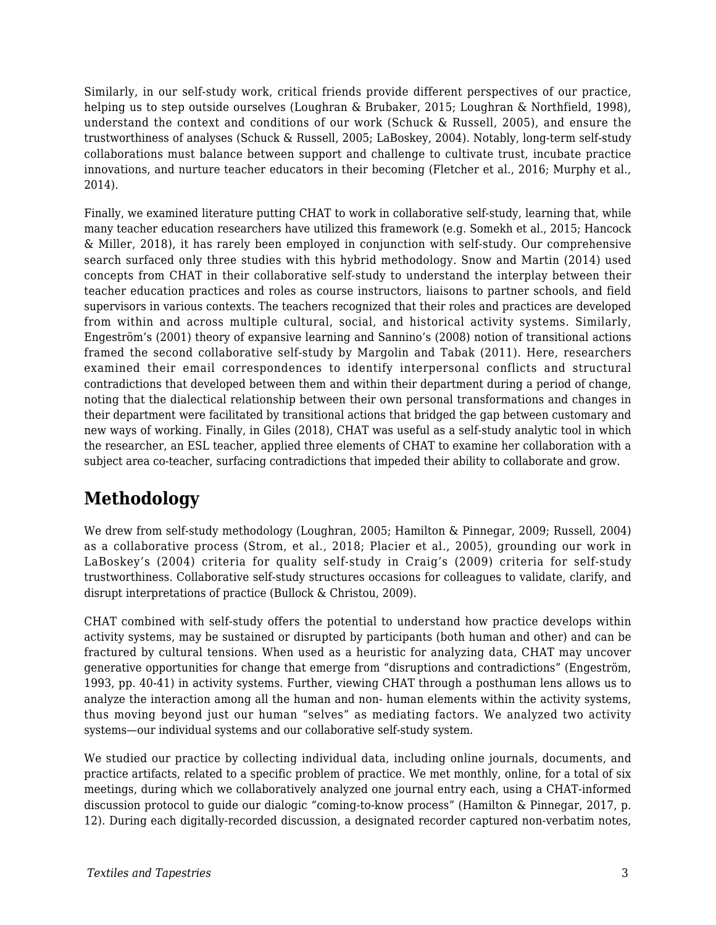Similarly, in our self-study work, critical friends provide different perspectives of our practice, helping us to step outside ourselves (Loughran & Brubaker, 2015; Loughran & Northfield, 1998), understand the context and conditions of our work (Schuck & Russell, 2005), and ensure the trustworthiness of analyses (Schuck & Russell, 2005; LaBoskey, 2004). Notably, long-term self-study collaborations must balance between support and challenge to cultivate trust, incubate practice innovations, and nurture teacher educators in their becoming (Fletcher et al., 2016; Murphy et al., 2014).

Finally, we examined literature putting CHAT to work in collaborative self-study, learning that, while many teacher education researchers have utilized this framework (e.g. Somekh et al., 2015; Hancock & Miller, 2018), it has rarely been employed in conjunction with self-study. Our comprehensive search surfaced only three studies with this hybrid methodology. Snow and Martin (2014) used concepts from CHAT in their collaborative self-study to understand the interplay between their teacher education practices and roles as course instructors, liaisons to partner schools, and field supervisors in various contexts. The teachers recognized that their roles and practices are developed from within and across multiple cultural, social, and historical activity systems. Similarly, Engeström's (2001) theory of expansive learning and Sannino's (2008) notion of transitional actions framed the second collaborative self-study by Margolin and Tabak (2011). Here, researchers examined their email correspondences to identify interpersonal conflicts and structural contradictions that developed between them and within their department during a period of change, noting that the dialectical relationship between their own personal transformations and changes in their department were facilitated by transitional actions that bridged the gap between customary and new ways of working. Finally, in Giles (2018), CHAT was useful as a self-study analytic tool in which the researcher, an ESL teacher, applied three elements of CHAT to examine her collaboration with a subject area co-teacher, surfacing contradictions that impeded their ability to collaborate and grow.

# **Methodology**

We drew from self-study methodology (Loughran, 2005; Hamilton & Pinnegar, 2009; Russell, 2004) as a collaborative process (Strom, et al., 2018; Placier et al., 2005), grounding our work in LaBoskey's (2004) criteria for quality self-study in Craig's (2009) criteria for self-study trustworthiness. Collaborative self-study structures occasions for colleagues to validate, clarify, and disrupt interpretations of practice (Bullock & Christou, 2009).

CHAT combined with self-study offers the potential to understand how practice develops within activity systems, may be sustained or disrupted by participants (both human and other) and can be fractured by cultural tensions. When used as a heuristic for analyzing data, CHAT may uncover generative opportunities for change that emerge from "disruptions and contradictions" (Engeström, 1993, pp. 40-41) in activity systems. Further, viewing CHAT through a posthuman lens allows us to analyze the interaction among all the human and non- human elements within the activity systems, thus moving beyond just our human "selves" as mediating factors. We analyzed two activity systems—our individual systems and our collaborative self-study system.

We studied our practice by collecting individual data, including online journals, documents, and practice artifacts, related to a specific problem of practice. We met monthly, online, for a total of six meetings, during which we collaboratively analyzed one journal entry each, using a CHAT-informed discussion protocol to guide our dialogic "coming-to-know process" (Hamilton & Pinnegar, 2017, p. 12). During each digitally-recorded discussion, a designated recorder captured non-verbatim notes,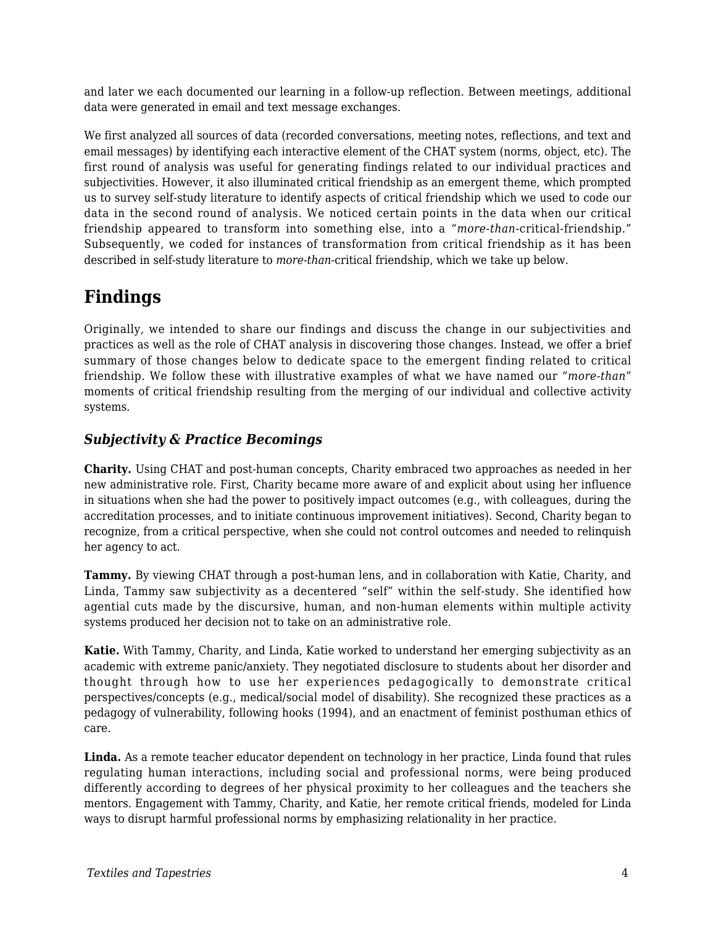and later we each documented our learning in a follow-up reflection. Between meetings, additional data were generated in email and text message exchanges.

We first analyzed all sources of data (recorded conversations, meeting notes, reflections, and text and email messages) by identifying each interactive element of the CHAT system (norms, object, etc). The first round of analysis was useful for generating findings related to our individual practices and subjectivities. However, it also illuminated critical friendship as an emergent theme, which prompted us to survey self-study literature to identify aspects of critical friendship which we used to code our data in the second round of analysis. We noticed certain points in the data when our critical friendship appeared to transform into something else, into a "*more-than*-critical-friendship." Subsequently, we coded for instances of transformation from critical friendship as it has been described in self-study literature to *more-than*-critical friendship, which we take up below.

# **Findings**

Originally, we intended to share our findings and discuss the change in our subjectivities and practices as well as the role of CHAT analysis in discovering those changes. Instead, we offer a brief summary of those changes below to dedicate space to the emergent finding related to critical friendship. We follow these with illustrative examples of what we have named our "*more-than*" moments of critical friendship resulting from the merging of our individual and collective activity systems.

#### *Subjectivity & Practice Becomings*

**Charity.** Using CHAT and post-human concepts, Charity embraced two approaches as needed in her new administrative role. First, Charity became more aware of and explicit about using her influence in situations when she had the power to positively impact outcomes (e.g., with colleagues, during the accreditation processes, and to initiate continuous improvement initiatives). Second, Charity began to recognize, from a critical perspective, when she could not control outcomes and needed to relinquish her agency to act.

**Tammy.** By viewing CHAT through a post-human lens, and in collaboration with Katie, Charity, and Linda, Tammy saw subjectivity as a decentered "self" within the self-study. She identified how agential cuts made by the discursive, human, and non-human elements within multiple activity systems produced her decision not to take on an administrative role.

**Katie.** With Tammy, Charity, and Linda, Katie worked to understand her emerging subjectivity as an academic with extreme panic/anxiety. They negotiated disclosure to students about her disorder and thought through how to use her experiences pedagogically to demonstrate critical perspectives/concepts (e.g., medical/social model of disability). She recognized these practices as a pedagogy of vulnerability, following hooks (1994), and an enactment of feminist posthuman ethics of care.

**Linda.** As a remote teacher educator dependent on technology in her practice, Linda found that rules regulating human interactions, including social and professional norms, were being produced differently according to degrees of her physical proximity to her colleagues and the teachers she mentors. Engagement with Tammy, Charity, and Katie, her remote critical friends, modeled for Linda ways to disrupt harmful professional norms by emphasizing relationality in her practice.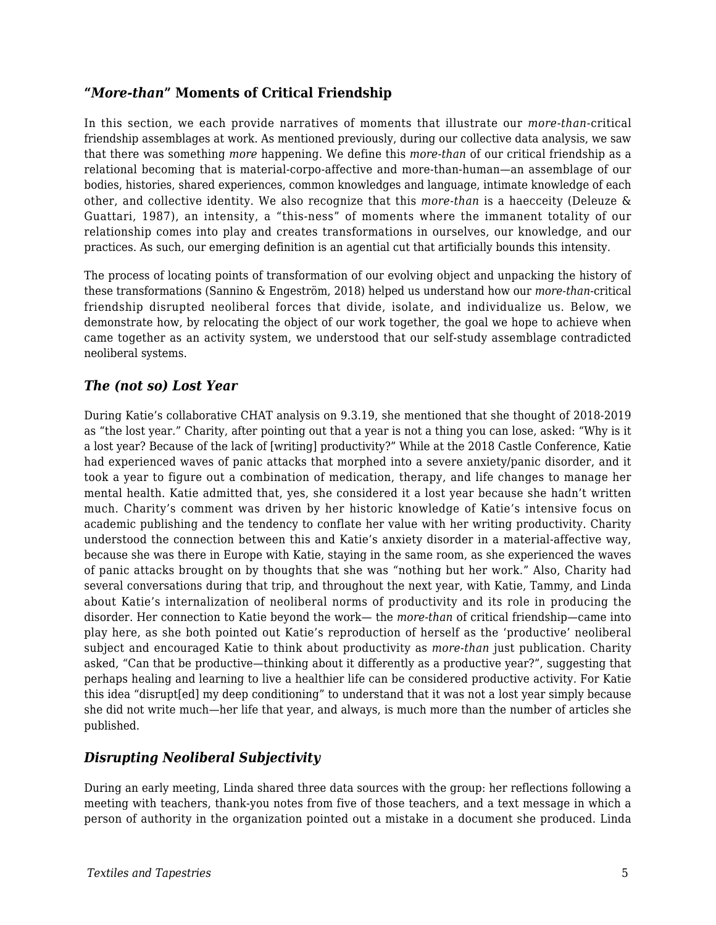#### **"***More-than***" Moments of Critical Friendship**

In this section, we each provide narratives of moments that illustrate our *more-than*-critical friendship assemblages at work. As mentioned previously, during our collective data analysis, we saw that there was something *more* happening. We define this *more-than* of our critical friendship as a relational becoming that is material-corpo-affective and more-than-human—an assemblage of our bodies, histories, shared experiences, common knowledges and language, intimate knowledge of each other, and collective identity. We also recognize that this *more-than* is a haecceity (Deleuze & Guattari, 1987), an intensity, a "this-ness" of moments where the immanent totality of our relationship comes into play and creates transformations in ourselves, our knowledge, and our practices. As such, our emerging definition is an agential cut that artificially bounds this intensity.

The process of locating points of transformation of our evolving object and unpacking the history of these transformations (Sannino & Engeström, 2018) helped us understand how our *more-than*-critical friendship disrupted neoliberal forces that divide, isolate, and individualize us. Below, we demonstrate how, by relocating the object of our work together, the goal we hope to achieve when came together as an activity system, we understood that our self-study assemblage contradicted neoliberal systems.

#### *The (not so) Lost Year*

During Katie's collaborative CHAT analysis on 9.3.19, she mentioned that she thought of 2018-2019 as "the lost year." Charity, after pointing out that a year is not a thing you can lose, asked: "Why is it a lost year? Because of the lack of [writing] productivity?" While at the 2018 Castle Conference, Katie had experienced waves of panic attacks that morphed into a severe anxiety/panic disorder, and it took a year to figure out a combination of medication, therapy, and life changes to manage her mental health. Katie admitted that, yes, she considered it a lost year because she hadn't written much. Charity's comment was driven by her historic knowledge of Katie's intensive focus on academic publishing and the tendency to conflate her value with her writing productivity. Charity understood the connection between this and Katie's anxiety disorder in a material-affective way, because she was there in Europe with Katie, staying in the same room, as she experienced the waves of panic attacks brought on by thoughts that she was "nothing but her work." Also, Charity had several conversations during that trip, and throughout the next year, with Katie, Tammy, and Linda about Katie's internalization of neoliberal norms of productivity and its role in producing the disorder. Her connection to Katie beyond the work— the *more-than* of critical friendship—came into play here, as she both pointed out Katie's reproduction of herself as the 'productive' neoliberal subject and encouraged Katie to think about productivity as *more-than* just publication. Charity asked, "Can that be productive—thinking about it differently as a productive year?", suggesting that perhaps healing and learning to live a healthier life can be considered productive activity. For Katie this idea "disrupt[ed] my deep conditioning" to understand that it was not a lost year simply because she did not write much—her life that year, and always, is much more than the number of articles she published.

#### *Disrupting Neoliberal Subjectivity*

During an early meeting, Linda shared three data sources with the group: her reflections following a meeting with teachers, thank-you notes from five of those teachers, and a text message in which a person of authority in the organization pointed out a mistake in a document she produced. Linda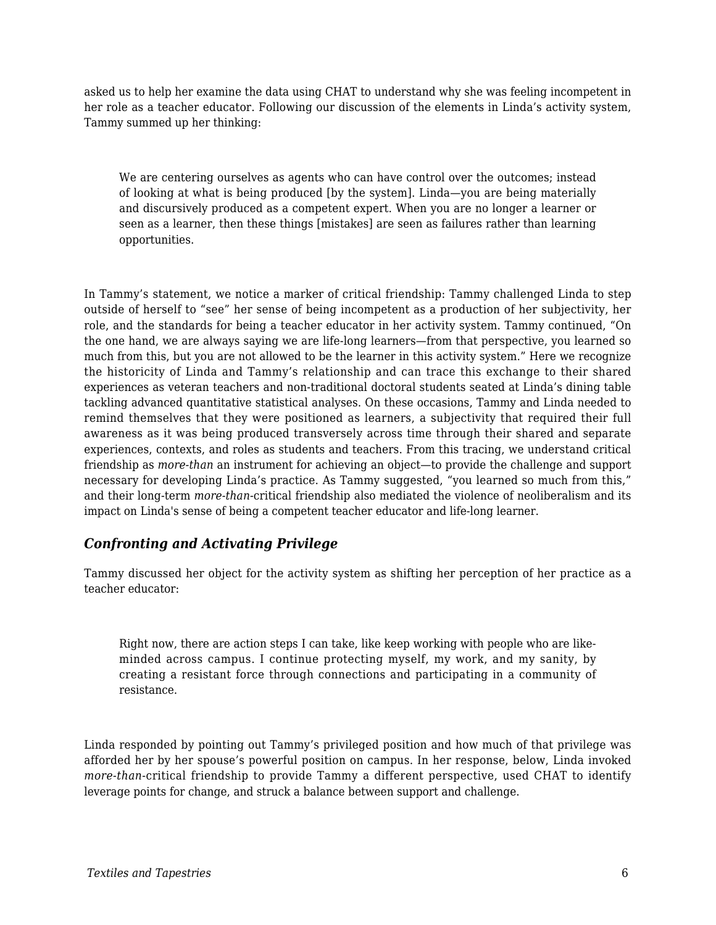asked us to help her examine the data using CHAT to understand why she was feeling incompetent in her role as a teacher educator. Following our discussion of the elements in Linda's activity system, Tammy summed up her thinking:

We are centering ourselves as agents who can have control over the outcomes; instead of looking at what is being produced [by the system]. Linda—you are being materially and discursively produced as a competent expert. When you are no longer a learner or seen as a learner, then these things [mistakes] are seen as failures rather than learning opportunities.

In Tammy's statement, we notice a marker of critical friendship: Tammy challenged Linda to step outside of herself to "see" her sense of being incompetent as a production of her subjectivity, her role, and the standards for being a teacher educator in her activity system. Tammy continued, "On the one hand, we are always saying we are life-long learners—from that perspective, you learned so much from this, but you are not allowed to be the learner in this activity system." Here we recognize the historicity of Linda and Tammy's relationship and can trace this exchange to their shared experiences as veteran teachers and non-traditional doctoral students seated at Linda's dining table tackling advanced quantitative statistical analyses. On these occasions, Tammy and Linda needed to remind themselves that they were positioned as learners, a subjectivity that required their full awareness as it was being produced transversely across time through their shared and separate experiences, contexts, and roles as students and teachers. From this tracing, we understand critical friendship as *more-than* an instrument for achieving an object—to provide the challenge and support necessary for developing Linda's practice. As Tammy suggested, "you learned so much from this," and their long-term *more-than*-critical friendship also mediated the violence of neoliberalism and its impact on Linda's sense of being a competent teacher educator and life-long learner.

#### *Confronting and Activating Privilege*

Tammy discussed her object for the activity system as shifting her perception of her practice as a teacher educator:

Right now, there are action steps I can take, like keep working with people who are likeminded across campus. I continue protecting myself, my work, and my sanity, by creating a resistant force through connections and participating in a community of resistance.

Linda responded by pointing out Tammy's privileged position and how much of that privilege was afforded her by her spouse's powerful position on campus. In her response, below, Linda invoked *more-than*-critical friendship to provide Tammy a different perspective, used CHAT to identify leverage points for change, and struck a balance between support and challenge.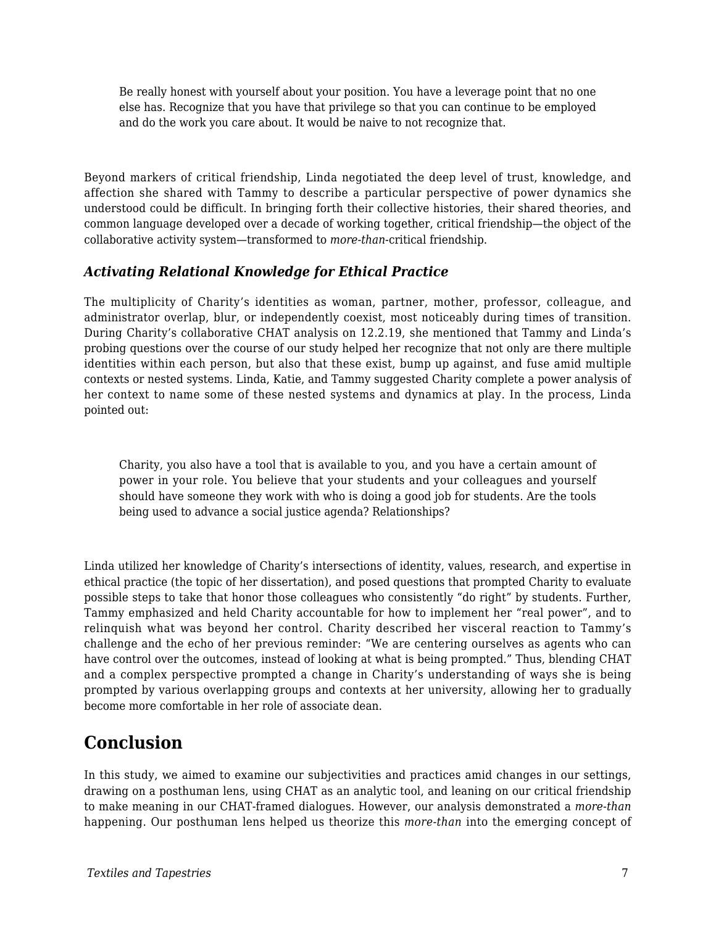Be really honest with yourself about your position. You have a leverage point that no one else has. Recognize that you have that privilege so that you can continue to be employed and do the work you care about. It would be naive to not recognize that.

Beyond markers of critical friendship, Linda negotiated the deep level of trust, knowledge, and affection she shared with Tammy to describe a particular perspective of power dynamics she understood could be difficult. In bringing forth their collective histories, their shared theories, and common language developed over a decade of working together, critical friendship—the object of the collaborative activity system—transformed to *more-than*-critical friendship.

#### *Activating Relational Knowledge for Ethical Practice*

The multiplicity of Charity's identities as woman, partner, mother, professor, colleague, and administrator overlap, blur, or independently coexist, most noticeably during times of transition. During Charity's collaborative CHAT analysis on 12.2.19, she mentioned that Tammy and Linda's probing questions over the course of our study helped her recognize that not only are there multiple identities within each person, but also that these exist, bump up against, and fuse amid multiple contexts or nested systems. Linda, Katie, and Tammy suggested Charity complete a power analysis of her context to name some of these nested systems and dynamics at play. In the process, Linda pointed out:

Charity, you also have a tool that is available to you, and you have a certain amount of power in your role. You believe that your students and your colleagues and yourself should have someone they work with who is doing a good job for students. Are the tools being used to advance a social justice agenda? Relationships?

Linda utilized her knowledge of Charity's intersections of identity, values, research, and expertise in ethical practice (the topic of her dissertation), and posed questions that prompted Charity to evaluate possible steps to take that honor those colleagues who consistently "do right" by students. Further, Tammy emphasized and held Charity accountable for how to implement her "real power", and to relinquish what was beyond her control. Charity described her visceral reaction to Tammy's challenge and the echo of her previous reminder: "We are centering ourselves as agents who can have control over the outcomes, instead of looking at what is being prompted." Thus, blending CHAT and a complex perspective prompted a change in Charity's understanding of ways she is being prompted by various overlapping groups and contexts at her university, allowing her to gradually become more comfortable in her role of associate dean.

## **Conclusion**

In this study, we aimed to examine our subjectivities and practices amid changes in our settings, drawing on a posthuman lens, using CHAT as an analytic tool, and leaning on our critical friendship to make meaning in our CHAT-framed dialogues. However, our analysis demonstrated a *more-than* happening. Our posthuman lens helped us theorize this *more-than* into the emerging concept of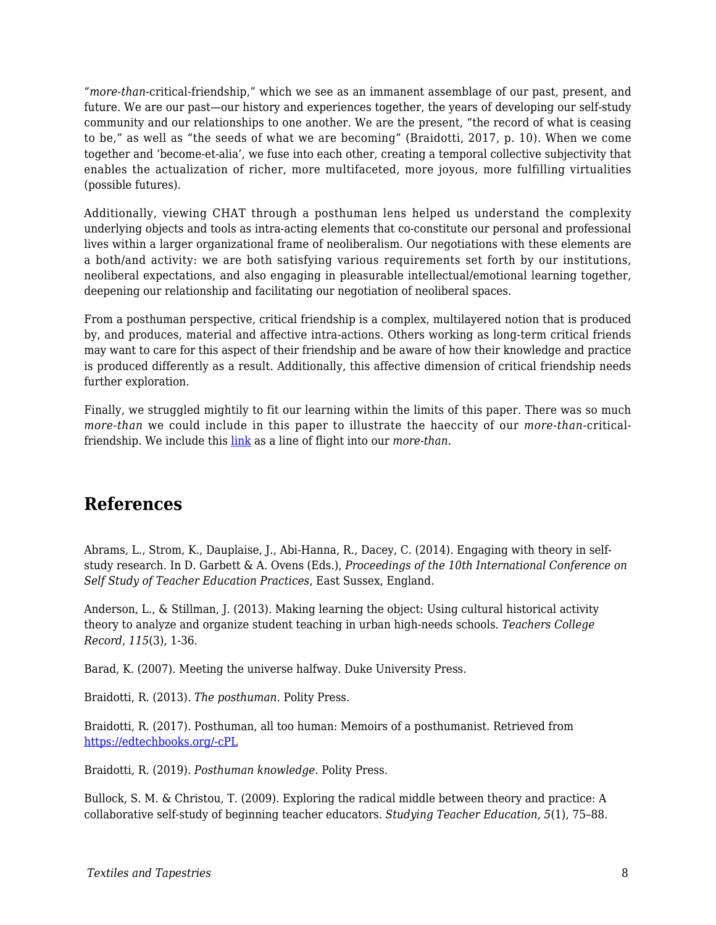"*more-than*-critical-friendship," which we see as an immanent assemblage of our past, present, and future. We are our past—our history and experiences together, the years of developing our self-study community and our relationships to one another. We are the present, "the record of what is ceasing to be," as well as "the seeds of what we are becoming" (Braidotti, 2017, p. 10). When we come together and 'become-et-alia', we fuse into each other, creating a temporal collective subjectivity that enables the actualization of richer, more multifaceted, more joyous, more fulfilling virtualities (possible futures).

Additionally, viewing CHAT through a posthuman lens helped us understand the complexity underlying objects and tools as intra-acting elements that co-constitute our personal and professional lives within a larger organizational frame of neoliberalism. Our negotiations with these elements are a both/and activity: we are both satisfying various requirements set forth by our institutions, neoliberal expectations, and also engaging in pleasurable intellectual/emotional learning together, deepening our relationship and facilitating our negotiation of neoliberal spaces.

From a posthuman perspective, critical friendship is a complex, multilayered notion that is produced by, and produces, material and affective intra-actions. Others working as long-term critical friends may want to care for this aspect of their friendship and be aware of how their knowledge and practice is produced differently as a result. Additionally, this affective dimension of critical friendship needs further exploration.

Finally, we struggled mightily to fit our learning within the limits of this paper. There was so much *more-than* we could include in this paper to illustrate the haeccity of our *more-than*-criticalfriendship. We include this [link](https://docs.google.com/document/d/1LtH0KZ9MGTg43Tu0oDO91HWrr9x55ufEsv8jWD_gIUs/edit) as a line of flight into our *more-than*.

## **References**

Abrams, L., Strom, K., Dauplaise, J., Abi-Hanna, R., Dacey, C. (2014). Engaging with theory in selfstudy research. In D. Garbett & A. Ovens (Eds.), *Proceedings of the 10th International Conference on Self Study of Teacher Education Practices*, East Sussex, England.

Anderson, L., & Stillman, J. (2013). Making learning the object: Using cultural historical activity theory to analyze and organize student teaching in urban high-needs schools. *Teachers College Record*, *115*(3), 1-36.

Barad, K. (2007). Meeting the universe halfway. Duke University Press.

Braidotti, R. (2013). *The posthuman.* Polity Press.

Braidotti, R. (2017). Posthuman, all too human: Memoirs of a posthumanist. Retrieved from [https://edtechbooks.org/-cPL](https://tannerlectures.utah.edu/Manuscript%20for%20Tanners%20Foundation%20Final%20Oct%201.pdf)

Braidotti, R. (2019). *Posthuman knowledge*. Polity Press.

Bullock, S. M. & Christou, T. (2009). Exploring the radical middle between theory and practice: A collaborative self-study of beginning teacher educators. *Studying Teacher Education, 5*(1), 75–88.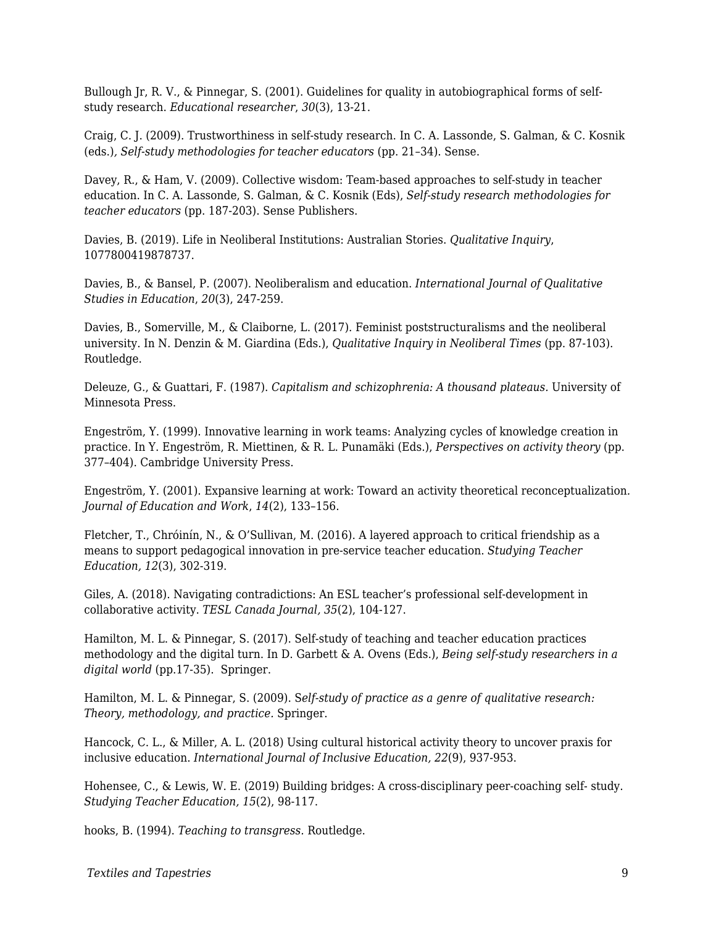Bullough Jr, R. V., & Pinnegar, S. (2001). Guidelines for quality in autobiographical forms of selfstudy research. *Educational researcher*, *30*(3), 13-21.

Craig, C. J. (2009). Trustworthiness in self-study research. In C. A. Lassonde, S. Galman, & C. Kosnik (eds.)*, Self-study methodologies for teacher educators* (pp. 21–34). Sense.

Davey, R., & Ham, V. (2009). Collective wisdom: Team-based approaches to self-study in teacher education. In C. A. Lassonde, S. Galman, & C. Kosnik (Eds), *Self-study research methodologies for teacher educators* (pp. 187-203). Sense Publishers.

Davies, B. (2019). Life in Neoliberal Institutions: Australian Stories. *Qualitative Inquiry*, 1077800419878737.

Davies, B., & Bansel, P. (2007). Neoliberalism and education. *International Journal of Qualitative Studies in Education*, *20*(3), 247-259.

Davies, B., Somerville, M., & Claiborne, L. (2017). Feminist poststructuralisms and the neoliberal university. In N. Denzin & M. Giardina (Eds.), *Qualitative Inquiry in Neoliberal Times* (pp. 87-103). Routledge.

Deleuze, G., & Guattari, F. (1987). *Capitalism and schizophrenia: A thousand plateaus.* University of Minnesota Press.

Engeström, Y. (1999). Innovative learning in work teams: Analyzing cycles of knowledge creation in practice. In Y. Engeström, R. Miettinen, & R. L. Punamäki (Eds.), *Perspectives on activity theory* (pp. 377–404). Cambridge University Press.

Engeström, Y. (2001). Expansive learning at work: Toward an activity theoretical reconceptualization*. Journal of Education and Work*, *14*(2), 133–156.

Fletcher, T., Chróinín, N., & O'Sullivan, M. (2016). A layered approach to critical friendship as a means to support pedagogical innovation in pre-service teacher education. *Studying Teacher Education, 12*(3), 302-319.

Giles, A. (2018). Navigating contradictions: An ESL teacher's professional self-development in collaborative activity. *TESL Canada Journal, 35*(2), 104-127.

Hamilton, M. L. & Pinnegar, S. (2017). Self-study of teaching and teacher education practices methodology and the digital turn. In D. Garbett & A. Ovens (Eds.), *Being self-study researchers in a digital world* (pp.17-35). Springer.

Hamilton, M. L. & Pinnegar, S. (2009). S*elf-study of practice as a genre of qualitative research: Theory, methodology, and practice.* Springer.

Hancock, C. L., & Miller, A. L. (2018) Using cultural historical activity theory to uncover praxis for inclusive education. *International Journal of Inclusive Education, 22*(9), 937-953.

Hohensee, C., & Lewis, W. E. (2019) Building bridges: A cross-disciplinary peer-coaching self- study. *Studying Teacher Education, 15*(2), 98-117.

hooks, B. (1994). *Teaching to transgress.* Routledge.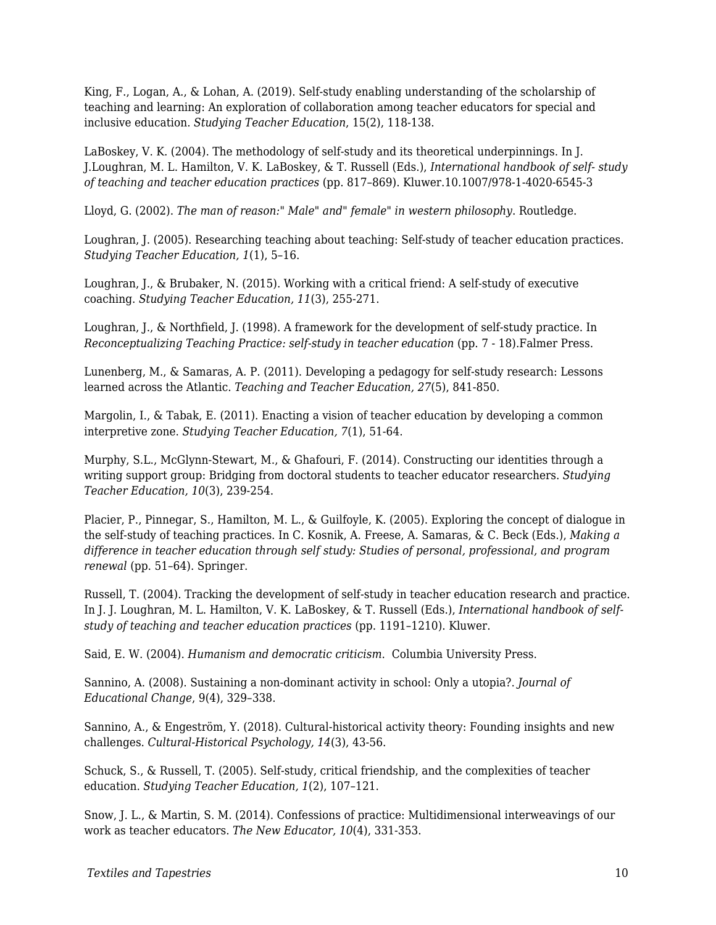King, F., Logan, A., & Lohan, A. (2019). Self-study enabling understanding of the scholarship of teaching and learning: An exploration of collaboration among teacher educators for special and inclusive education. *Studying Teacher Education*, 15(2), 118-138.

LaBoskey, V. K. (2004). The methodology of self-study and its theoretical underpinnings. In J. J.Loughran, M. L. Hamilton, V. K. LaBoskey, & T. Russell (Eds.), *International handbook of self- study of teaching and teacher education practices* (pp. 817–869). Kluwer.10.1007/978-1-4020-6545-3

Lloyd, G. (2002). *The man of reason:" Male" and" female" in western philosophy*. Routledge.

Loughran, J. (2005). Researching teaching about teaching: Self-study of teacher education practices. *Studying Teacher Education, 1*(1), 5–16.

Loughran, J., & Brubaker, N. (2015). Working with a critical friend: A self-study of executive coaching. *Studying Teacher Education, 11*(3), 255-271.

Loughran, J., & Northfield, J. (1998). A framework for the development of self-study practice. In *Reconceptualizing Teaching Practice: self-study in teacher education (pp. 7 - 18).Falmer Press.* 

Lunenberg, M., & Samaras, A. P. (2011). Developing a pedagogy for self-study research: Lessons learned across the Atlantic. *Teaching and Teacher Education, 27*(5), 841-850.

Margolin, I., & Tabak, E. (2011). Enacting a vision of teacher education by developing a common interpretive zone. *Studying Teacher Education, 7*(1), 51-64.

Murphy, S.L., McGlynn-Stewart, M., & Ghafouri, F. (2014). Constructing our identities through a writing support group: Bridging from doctoral students to teacher educator researchers. *Studying Teacher Education, 10*(3), 239-254.

Placier, P., Pinnegar, S., Hamilton, M. L., & Guilfoyle, K. (2005). Exploring the concept of dialogue in the self-study of teaching practices. In C. Kosnik, A. Freese, A. Samaras, & C. Beck (Eds.), *Making a difference in teacher education through self study: Studies of personal, professional, and program renewal* (pp. 51–64). Springer.

Russell, T. (2004). Tracking the development of self-study in teacher education research and practice. In J. J. Loughran, M. L. Hamilton, V. K. LaBoskey, & T. Russell (Eds.), *International handbook of selfstudy of teaching and teacher education practices* (pp. 1191–1210). Kluwer.

Said, E. W. (2004). *Humanism and democratic criticism*. Columbia University Press.

Sannino, A. (2008). Sustaining a non-dominant activity in school: Only a utopia?. *Journal of Educational Change*, 9(4), 329–338.

Sannino, A., & Engeström, Y. (2018). Cultural-historical activity theory: Founding insights and new challenges. *Cultural-Historical Psychology, 14*(3), 43-56.

Schuck, S., & Russell, T. (2005). Self-study, critical friendship, and the complexities of teacher education. *Studying Teacher Education, 1*(2), 107–121.

Snow, J. L., & Martin, S. M. (2014). Confessions of practice: Multidimensional interweavings of our work as teacher educators. *The New Educator, 10*(4), 331-353.